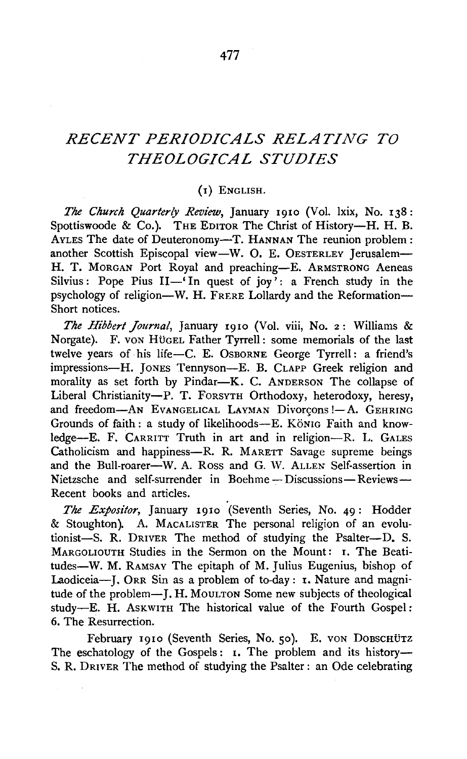# *RECENT PERIODICALS RELATING TO THEOLOGICAL STUDIES*

#### (I) ENGLISH.

*The Church Quarterly Review,* January I9IO (Vol. lxix, No. 138: Spottiswoode & Co.). THE EDITOR The Christ of History-H. H. B. AVLES The date of Deuteronomy-T. HANNAN The reunion problem: another Scottish Episcopal view-W. O. E. OESTERLEY Jerusalem-H. T. MORGAN Port Royal and preaching-E. ARMSTRONG Aeneas Silvius: Pope Pius  $II$ <sup>-'</sup> In quest of joy': a French study in the psychology of religion-W. H. FRERE Lollardy and the Reformation-Short notices.

*The Hibbert Journal,* January 1910 (Vol. viii, No. 2: Williams & Norgate). F. von Hügel Father Tyrrell: some memorials of the last twelve years of his life-C. E. OsBORNE George Tyrrell : a friend's impressions-H. JONES Tennyson-E. B. CLAPP Greek religion and morality as set forth by Pindar-K. C. ANDERSON The collapse of Liberal Christianity-P. T. FORSYTH Orthodoxy, heterodoxy, heresy, and freedom-AN EVANGELICAL LAYMAN Divorçons !- A. GEHRING Grounds of faith : a study of likelihoods-E. König Faith and knowledge-E. F. CARRITT Truth in art and in religion-R. L. GALES Catholicism and happiness-R. R. MARETT Savage supreme beings and the Bull-roarer-W. A. Ross and G. W. ALLEN Self-assertion in Nietzsche and self-surrender in Boehme-Discussions-Reviews-Recent books and articles.

*The Expositor,* January I9IO (Seventh Series, No. 49: Hodder & Stoughton). A. MACALISTER The personal religion of an evolutionist-S. R. DRIVER The method of studying the Psalter--D. S. MARGOLIOUTH Studies in the Sermon on the Mount: I. The Beatitudes-W. M. RAMSAY The epitaph of M. Julius Eugenius, bishop of Laodiceia-J. ORR Sin as a problem of to-day: 1. Nature and magnitude of the problem-J. H. MouLTON Some new subjects of theological study-E. H. AsKWITH The historical value of the Fourth Gospel: 6. The Resurrection.

February 1910 (Seventh Series, No. 50). E. VON DOBSCHÜTZ The eschatology of the Gospels: 1. The problem and its history-S. R. DRIVER The method of studying the Psalter : an Ode celebrating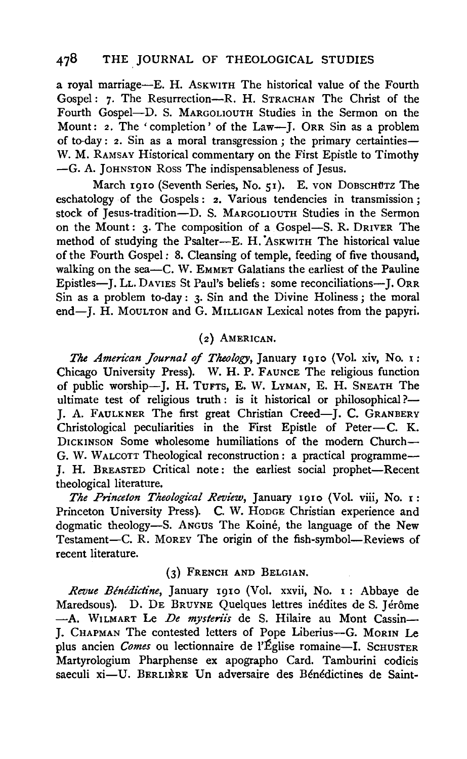a royal marriage-E. H. AsKWITH The historical value of the Fourth Gospel: 7· The Resurrection-R. H. STRACHAN The Christ of the Fourth Gospel-D. S. MARGOLIOUTH Studies in the Sermon on the Mount: 2. The 'completion' of the Law---J. ORR Sin as a problem of to-day: 2. Sin as a moral transgression; the primary certainties-W. M. RAMSAY Historical commentary on the First Epistle to Timothy -G. A. JoHNSTON Ross The indispensableness of Jesus.

March 1910 (Seventh Series, No. 51). E. von DOBSCHUTZ The eschatology of the Gospels: 2. Various tendencies in transmission; stock of Jesus-tradition-D. S. MARGOLIOUTH Studies in the Sermon on the Mount: 3. The composition of a Gospel-S. R. DRIVER The method of studying the Psalter-E. H. ASKWITH The historical value of the Fourth Gospel : 8. Cleansing of temple, feeding of five thousand, walking on the sea-C. W. EMMET Galatians the earliest of the Pauline Epistles-J. LL. DAVIES St Paul's beliefs: some reconciliations-]. 0RR Sin as a problem to-day: 3· Sin and the Divine Holiness; the moral end-J. H. MOULTON and G. MILLIGAN Lexical notes from the papyri.

## (2) AMERICAN.

*The American Journal* of *Theology,* January 19Io (Vol. xiv, No. I: Chicago University Press). W. H. P. FAUNCE The religious function of public worship-J. H. TuFTs, E. W. LvMAN, E. H. SNEATH The ultimate test of religious truth: is it historical or philosophical?-J. A. FAULKNER The first great Christian Creed-J. C. GRANBERY Christological peculiarities in the First Epistle of Peter-C. K. DICKINSON Some wholesome humiliations of the modern Church-G. W. WALCOTT Theological reconstruction : a practical programme-*].* H. BREASTED Critical note: the earliest social prophet-Recent theological literature.

*The Prince/on Theological Review,* January I9IO (Vol. viii, No. I: Princeton University Press). C. W. HoDGE Christian experience and dogmatic theology-S. Angus The Koiné, the language of the New Testament-C. R. MOREY The origin of the fish-symbol-Reviews of recent literature.

## (3) FRENCH AND BELGIAN.

*Revue Blnldictine,* January I91o (Vol. xxvii, No. I : Abbaye de Maredsous). D. DE BRUYNE Quelques lettres inédites de S. Jérôme -A. WILMART Le *De mysteriis* de S. Hilaire au Mont Cassin-J. CHAPMAN The contested letters of Pope Liberius-G. MORIN Le plus ancien *Comes* ou lectionnaire de l'Église romaine-I. SCHUSTER Martyrologium Pharphense ex apographo Card. Tamburini codicis saeculi xi-U. BERLIÈRE Un adversaire des Bénédictines de Saint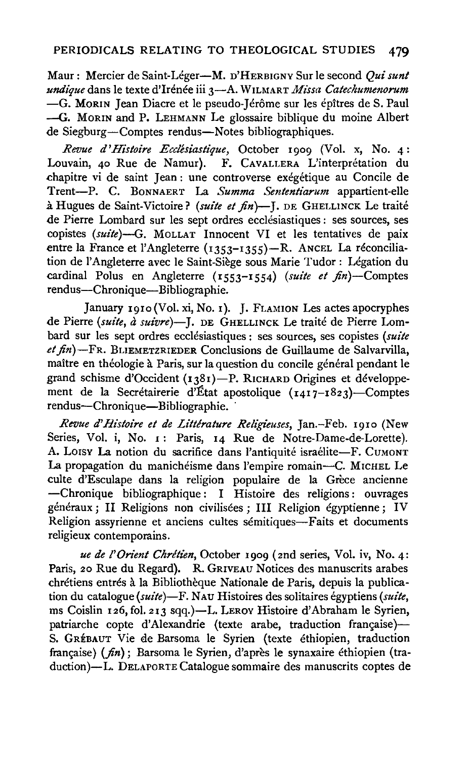Maur: Mercier de Saint-Leger-M. D'HERBIGNY Sur le second *Qui sunt undique* dans le texte d'Irénée iii 3-A. WILMART Missa Catechumenorum -G. MORIN Jean Diacre et le pseudo-Jérôme sur les épîtres de S. Paul -G. MORIN and P. LEHMANN Le glossaire biblique du moine Albert de Siegburg-Comptes rendus-Notes bibliographiques.

*Revue d'Histoire Ecclesiastique,* October 1909 (Vol. x, No. 4: Louvain, 40 Rue de Namur). F. CAVALLERA L'interprétation du chapitre vi de saint Jean: une controverse exegetique au Concile de Trent-P. C. BoNNAERT La *Summa Sententiarum* appartient-elle a Hugues de Saint-Victoire? *(suite et fin)-].* DE GHELLINCK Le traite de Pierre Lombard sur les sept ordres ecclésiastiques : ses sources, ses copistes *(suite)-G.* MoLLAT Innocent VI et les tentatives de paix entre la France et l'Angleterre (1353-1355)-R. ANCEL La réconciliation de l'Angleterre avec le Saint-Siege sous Marie Tudor: Legation du cardinal Polus en Angleterre (1553-1554) *(suite et* fin)-Comptes rendus-Chronique-Bibliographie.

January 191o(Vol. xi, No. 1). J. FLAMION Les actes apocryphes de Pierre *(suite, à suivre*)-J. DE GHELLINCK Le traité de Pierre Lombard sur les sept ordres ecclesiastiques: ses sources, ses copistes *(suite et fin)-*FR. BLIEMETZRIEDER Conclusions de Guillaume de Salvarvilla, maître en théologie à Paris, sur la question du concile général pendant le grand schisme d'Occident (1381)—Р. RICHARD Origines et développement de la Secrétairerie d'Etat apostolique (1417–1823)—Comptes rendus-Chronique-Bibliographie.

*Revue d'Histoire et de Littérature Religieuses*, Jan.-Feb. 1910 (New Series, Vol. i, No. 1: Paris, 14 Rue de Notre-Dame-de-Lorette). A. Lorsy La notion du sacrifice dans l'antiquité israélite-F. CUMONT La propagation du manichéisme dans l'empire romain-C. MICHEL Le culte d'Esculape dans la religion populaire de la Grèce ancienne -Chronique bibliographique : I Histoire des religions : ouvrages généraux ; II Religions non civilisées ; III Religion égyptienne ; IV Religion assyrienne et anciens cultes sémitiques-Faits et documents religieux contemporains.

*ue de /'Orient Chrltien,* October 1909 (2nd series, Vol. iv, No. 4: Paris, 20 Rue du Regard). R. GRIVEAU Notices des manuscrits arabes chrétiens entrés à la Bibliothèque Nationale de Paris, depuis la publication du catalogue *(suite)*-F. NAU Histoires des solitaires égyptiens *(suite,* ms Coislin 126, fol. 213 sqq.)-L. LEROY Histoire d'Abraham le Syrien, patriarche copte d'Alexandrie (texte arabe, traduction française)— S. GRÉBAUT Vie de Barsoma le Syrien (texte éthiopien, traduction française) (fin); Barsoma le Syrien, d'après le synaxaire éthiopien (traduction)-L. DELAPORTE Catalogue sommaire des manuscrits coptes de